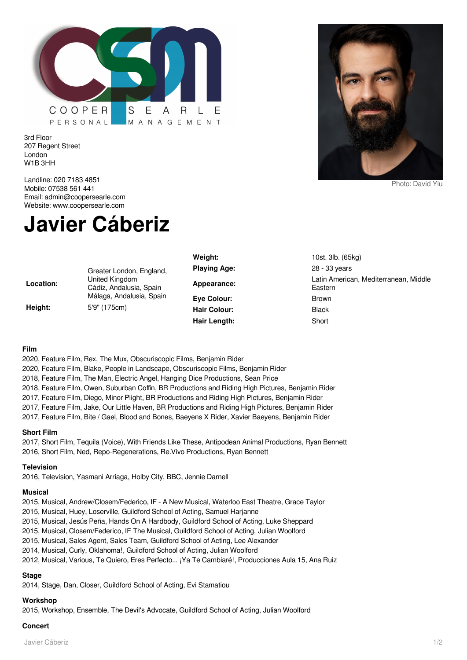

3rd Floor 207 Regent Street London W1B 3HH

Landline: 020 7183 4851 Mobile: 07538 561 441 Email: admin@coopersearle.com Website: www.coopersearle.com

# **Javier Cáberiz**

|           |                                                                                                   | Weight:             | 10st. 3lb. (65kg)                                |
|-----------|---------------------------------------------------------------------------------------------------|---------------------|--------------------------------------------------|
|           | Greater London, England,<br>United Kingdom<br>Cádiz, Andalusia, Spain<br>Málaga, Andalusia, Spain | <b>Playing Age:</b> | 28 - 33 years                                    |
| Location: |                                                                                                   | Appearance:         | Latin American, Mediterranean, Middle<br>Eastern |
|           |                                                                                                   | Eye Colour:         | <b>Brown</b>                                     |
| Height:   | 5'9" (175cm)                                                                                      | <b>Hair Colour:</b> | <b>Black</b>                                     |
|           |                                                                                                   | Hair Length:        | Short                                            |

## **Film**

2020, Feature Film, Rex, The Mux, Obscuriscopic Films, Benjamin Rider

2020, Feature Film, Blake, People in Landscape, Obscuriscopic Films, Benjamin Rider

2018, Feature Film, The Man, Electric Angel, Hanging Dice Productions, Sean Price

2018, Feature Film, Owen, Suburban Coffin, BR Productions and Riding High Pictures, Benjamin Rider

2017, Feature Film, Diego, Minor Plight, BR Productions and Riding High Pictures, Benjamin Rider

2017, Feature Film, Jake, Our Little Haven, BR Productions and Riding High Pictures, Benjamin Rider

2017, Feature Film, Bite / Gael, Blood and Bones, Baeyens X Rider, Xavier Baeyens, Benjamin Rider

## **Short Film**

2017, Short Film, Tequila (Voice), With Friends Like These, Antipodean Animal Productions, Ryan Bennett 2016, Short Film, Ned, Repo-Regenerations, Re.Vivo Productions, Ryan Bennett

## **Television**

2016, Television, Yasmani Arriaga, Holby City, BBC, Jennie Darnell

## **Musical**

2015, Musical, Andrew/Closem/Federico, IF - A New Musical, Waterloo East Theatre, Grace Taylor

2015, Musical, Huey, Loserville, Guildford School of Acting, Samuel Harjanne

2015, Musical, Jesús Peña, Hands On A Hardbody, Guildford School of Acting, Luke Sheppard

2015, Musical, Closem/Federico, IF The Musical, Guildford School of Acting, Julian Woolford

2015, Musical, Sales Agent, Sales Team, Guildford School of Acting, Lee Alexander

2014, Musical, Curly, Oklahoma!, Guildford School of Acting, Julian Woolford

2012, Musical, Various, Te Quiero, Eres Perfecto... ¡Ya Te Cambiaré!, Producciones Aula 15, Ana Ruiz

## **Stage**

2014, Stage, Dan, Closer, Guildford School of Acting, Evi Stamatiou

## **Workshop**

2015, Workshop, Ensemble, The Devil's Advocate, Guildford School of Acting, Julian Woolford

## **Concert**